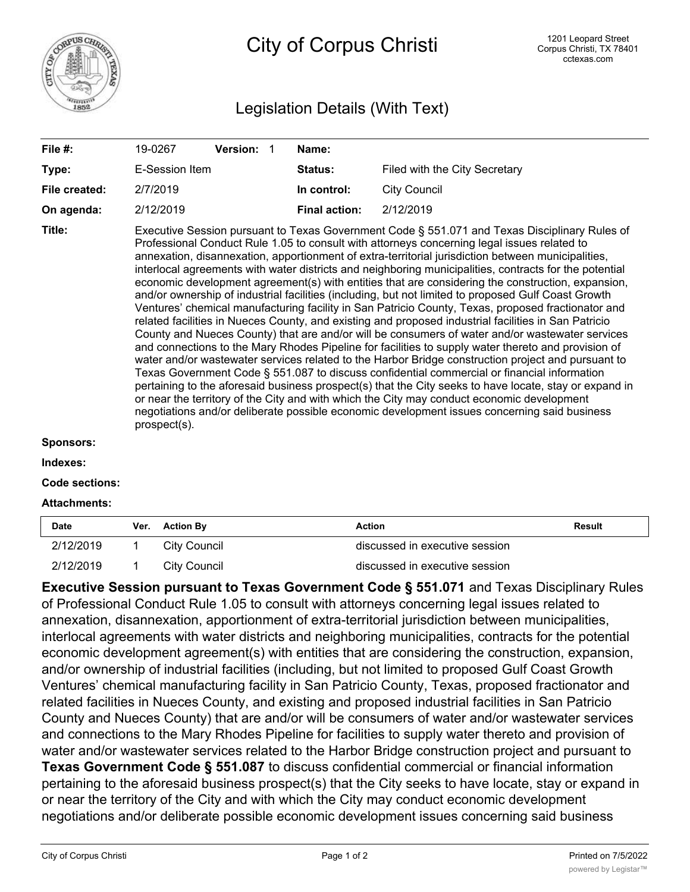

City of Corpus Christi

## Legislation Details (With Text)

| Type:<br>File created:<br>On agenda: | E-Session Item                                                                                                                                                                                                                                                                                                                                                                                                                                                                                                                                                                                                                                                                                                                                                                                                                                                                                                                                                                                                                                                                                                                                                                                                                                                                                                                                                                                                                                                                                                                                                                |           |  | Status:              |                               |  |
|--------------------------------------|-------------------------------------------------------------------------------------------------------------------------------------------------------------------------------------------------------------------------------------------------------------------------------------------------------------------------------------------------------------------------------------------------------------------------------------------------------------------------------------------------------------------------------------------------------------------------------------------------------------------------------------------------------------------------------------------------------------------------------------------------------------------------------------------------------------------------------------------------------------------------------------------------------------------------------------------------------------------------------------------------------------------------------------------------------------------------------------------------------------------------------------------------------------------------------------------------------------------------------------------------------------------------------------------------------------------------------------------------------------------------------------------------------------------------------------------------------------------------------------------------------------------------------------------------------------------------------|-----------|--|----------------------|-------------------------------|--|
|                                      |                                                                                                                                                                                                                                                                                                                                                                                                                                                                                                                                                                                                                                                                                                                                                                                                                                                                                                                                                                                                                                                                                                                                                                                                                                                                                                                                                                                                                                                                                                                                                                               |           |  |                      | Filed with the City Secretary |  |
|                                      |                                                                                                                                                                                                                                                                                                                                                                                                                                                                                                                                                                                                                                                                                                                                                                                                                                                                                                                                                                                                                                                                                                                                                                                                                                                                                                                                                                                                                                                                                                                                                                               | 2/7/2019  |  | In control:          | <b>City Council</b>           |  |
|                                      |                                                                                                                                                                                                                                                                                                                                                                                                                                                                                                                                                                                                                                                                                                                                                                                                                                                                                                                                                                                                                                                                                                                                                                                                                                                                                                                                                                                                                                                                                                                                                                               | 2/12/2019 |  | <b>Final action:</b> | 2/12/2019                     |  |
| Title:<br>Sponsors:                  | Executive Session pursuant to Texas Government Code § 551.071 and Texas Disciplinary Rules of<br>Professional Conduct Rule 1.05 to consult with attorneys concerning legal issues related to<br>annexation, disannexation, apportionment of extra-territorial jurisdiction between municipalities,<br>interlocal agreements with water districts and neighboring municipalities, contracts for the potential<br>economic development agreement(s) with entities that are considering the construction, expansion,<br>and/or ownership of industrial facilities (including, but not limited to proposed Gulf Coast Growth<br>Ventures' chemical manufacturing facility in San Patricio County, Texas, proposed fractionator and<br>related facilities in Nueces County, and existing and proposed industrial facilities in San Patricio<br>County and Nueces County) that are and/or will be consumers of water and/or wastewater services<br>and connections to the Mary Rhodes Pipeline for facilities to supply water thereto and provision of<br>water and/or wastewater services related to the Harbor Bridge construction project and pursuant to<br>Texas Government Code § 551.087 to discuss confidential commercial or financial information<br>pertaining to the aforesaid business prospect(s) that the City seeks to have locate, stay or expand in<br>or near the territory of the City and with which the City may conduct economic development<br>negotiations and/or deliberate possible economic development issues concerning said business<br>prospect(s). |           |  |                      |                               |  |

## **Indexes:**

**Code sections:**

## **Attachments:**

| <b>Date</b> | Ver. | <b>Action By</b> | <b>Action</b>                  | Result |
|-------------|------|------------------|--------------------------------|--------|
| 2/12/2019   |      | City Council     | discussed in executive session |        |
| 2/12/2019   |      | City Council     | discussed in executive session |        |

**Executive Session pursuant to Texas Government Code § 551.071** and Texas Disciplinary Rules of Professional Conduct Rule 1.05 to consult with attorneys concerning legal issues related to annexation, disannexation, apportionment of extra-territorial jurisdiction between municipalities, interlocal agreements with water districts and neighboring municipalities, contracts for the potential economic development agreement(s) with entities that are considering the construction, expansion, and/or ownership of industrial facilities (including, but not limited to proposed Gulf Coast Growth Ventures' chemical manufacturing facility in San Patricio County, Texas, proposed fractionator and related facilities in Nueces County, and existing and proposed industrial facilities in San Patricio County and Nueces County) that are and/or will be consumers of water and/or wastewater services and connections to the Mary Rhodes Pipeline for facilities to supply water thereto and provision of water and/or wastewater services related to the Harbor Bridge construction project and pursuant to **Texas Government Code § 551.087** to discuss confidential commercial or financial information pertaining to the aforesaid business prospect(s) that the City seeks to have locate, stay or expand in or near the territory of the City and with which the City may conduct economic development negotiations and/or deliberate possible economic development issues concerning said business